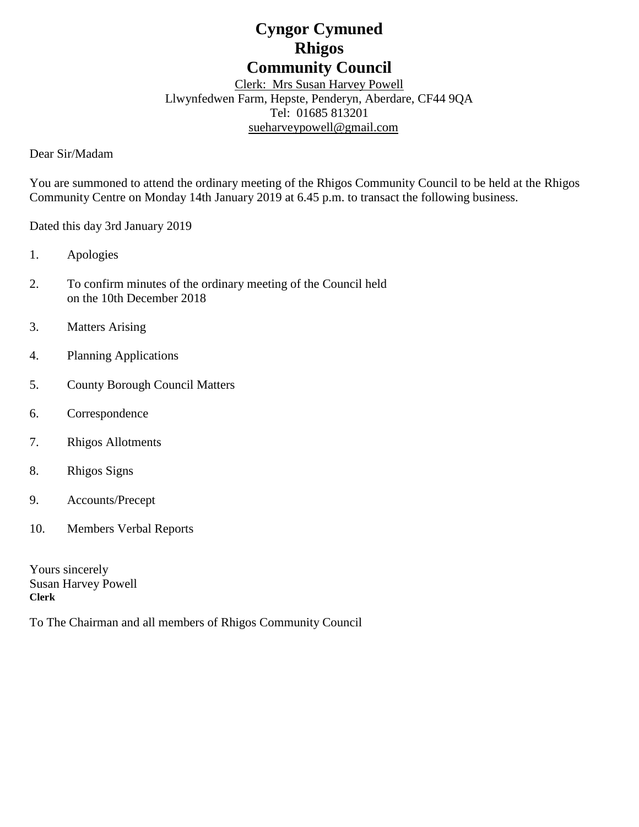# **Cyngor Cymuned Rhigos Community Council**

Clerk: Mrs Susan Harvey Powell Llwynfedwen Farm, Hepste, Penderyn, Aberdare, CF44 9QA Tel: 01685 813201 [sueharveypowell@g](mailto:sharveypowell@comin-infants.co.uk)mail.com

Dear Sir/Madam

You are summoned to attend the ordinary meeting of the Rhigos Community Council to be held at the Rhigos Community Centre on Monday 14th January 2019 at 6.45 p.m. to transact the following business.

Dated this day 3rd January 2019

- 1. Apologies
- 2. To confirm minutes of the ordinary meeting of the Council held on the 10th December 2018
- 3. Matters Arising
- 4. Planning Applications
- 5. County Borough Council Matters
- 6. Correspondence
- 7. Rhigos Allotments
- 8. Rhigos Signs
- 9. Accounts/Precept
- 10. Members Verbal Reports

Yours sincerely Susan Harvey Powell **Clerk**

To The Chairman and all members of Rhigos Community Council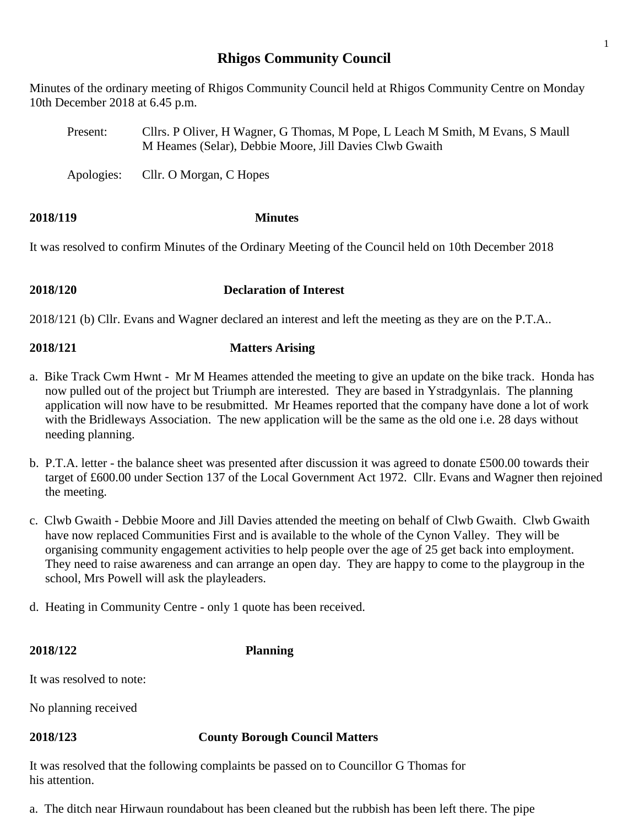# **Rhigos Community Council**

Minutes of the ordinary meeting of Rhigos Community Council held at Rhigos Community Centre on Monday 10th December 2018 at 6.45 p.m.

Present: Cllrs. P Oliver, H Wagner, G Thomas, M Pope, L Leach M Smith, M Evans, S Maull M Heames (Selar), Debbie Moore, Jill Davies Clwb Gwaith

Apologies: Cllr. O Morgan, C Hopes

# **2018/119 Minutes**

It was resolved to confirm Minutes of the Ordinary Meeting of the Council held on 10th December 2018

### **2018/120 Declaration of Interest**

2018/121 (b) Cllr. Evans and Wagner declared an interest and left the meeting as they are on the P.T.A..

## **2018/121 Matters Arising**

- a. Bike Track Cwm Hwnt Mr M Heames attended the meeting to give an update on the bike track. Honda has now pulled out of the project but Triumph are interested. They are based in Ystradgynlais. The planning application will now have to be resubmitted. Mr Heames reported that the company have done a lot of work with the Bridleways Association. The new application will be the same as the old one i.e. 28 days without needing planning.
- b. P.T.A. letter the balance sheet was presented after discussion it was agreed to donate £500.00 towards their target of £600.00 under Section 137 of the Local Government Act 1972. Cllr. Evans and Wagner then rejoined the meeting.
- c. Clwb Gwaith Debbie Moore and Jill Davies attended the meeting on behalf of Clwb Gwaith. Clwb Gwaith have now replaced Communities First and is available to the whole of the Cynon Valley. They will be organising community engagement activities to help people over the age of 25 get back into employment. They need to raise awareness and can arrange an open day. They are happy to come to the playgroup in the school, Mrs Powell will ask the playleaders.
- d. Heating in Community Centre only 1 quote has been received.

### **2018/122 Planning**

It was resolved to note:

No planning received

### **2018/123 County Borough Council Matters**

It was resolved that the following complaints be passed on to Councillor G Thomas for his attention.

a. The ditch near Hirwaun roundabout has been cleaned but the rubbish has been left there. The pipe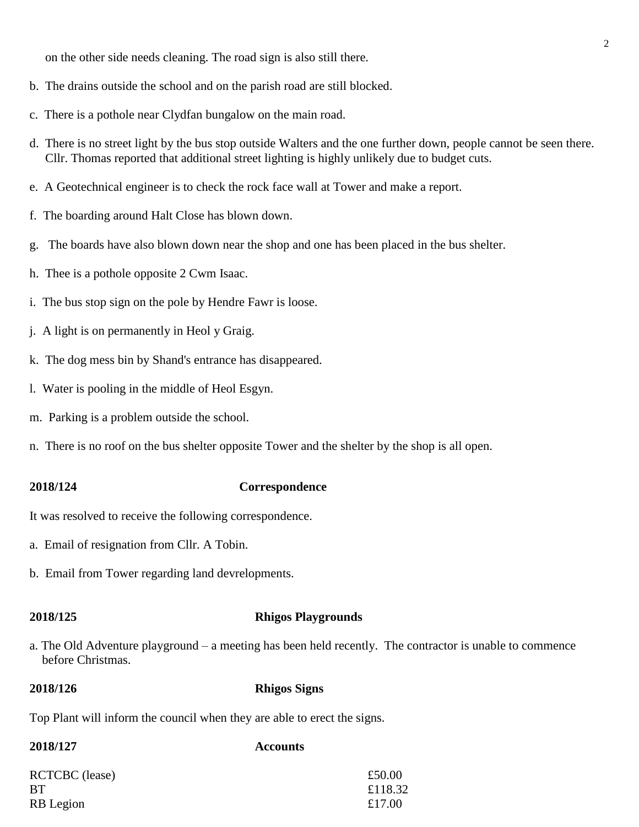on the other side needs cleaning. The road sign is also still there.

- b. The drains outside the school and on the parish road are still blocked.
- c. There is a pothole near Clydfan bungalow on the main road.
- d. There is no street light by the bus stop outside Walters and the one further down, people cannot be seen there. Cllr. Thomas reported that additional street lighting is highly unlikely due to budget cuts.
- e. A Geotechnical engineer is to check the rock face wall at Tower and make a report.
- f. The boarding around Halt Close has blown down.
- g. The boards have also blown down near the shop and one has been placed in the bus shelter.
- h. Thee is a pothole opposite 2 Cwm Isaac.
- i. The bus stop sign on the pole by Hendre Fawr is loose.
- j. A light is on permanently in Heol y Graig.
- k. The dog mess bin by Shand's entrance has disappeared.
- l. Water is pooling in the middle of Heol Esgyn.
- m. Parking is a problem outside the school.
- n. There is no roof on the bus shelter opposite Tower and the shelter by the shop is all open.

### **2018/124 Correspondence**

It was resolved to receive the following correspondence.

- a. Email of resignation from Cllr. A Tobin.
- b. Email from Tower regarding land devrelopments.

### **2018/125 Rhigos Playgrounds**

a. The Old Adventure playground – a meeting has been held recently. The contractor is unable to commence before Christmas.

### **2018/126 Rhigos Signs**

Top Plant will inform the council when they are able to erect the signs.

### **2018/127 Accounts**

| <b>RCTCBC</b> (lease) | £50.00  |
|-----------------------|---------|
| BT                    | £118.32 |
| RB Legion             | £17.00  |